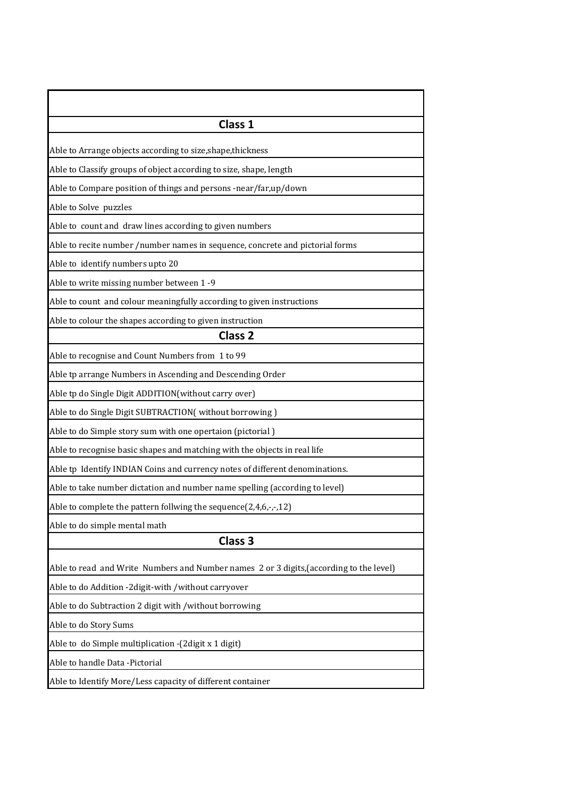| Class 1                                                                                 |
|-----------------------------------------------------------------------------------------|
| Able to Arrange objects according to size, shape, thickness                             |
| Able to Classify groups of object according to size, shape, length                      |
| Able to Compare position of things and persons -near/far,up/down                        |
| Able to Solve puzzles                                                                   |
| Able to count and draw lines according to given numbers                                 |
| Able to recite number /number names in sequence, concrete and pictorial forms           |
| Able to identify numbers upto 20                                                        |
| Able to write missing number between 1-9                                                |
| Able to count and colour meaningfully according to given instructions                   |
| Able to colour the shapes according to given instruction                                |
| Class <sub>2</sub>                                                                      |
| Able to recognise and Count Numbers from 1 to 99                                        |
| Able tp arrange Numbers in Ascending and Descending Order                               |
| Able tp do Single Digit ADDITION(without carry over)                                    |
| Able to do Single Digit SUBTRACTION( without borrowing)                                 |
| Able to do Simple story sum with one opertaion (pictorial)                              |
| Able to recognise basic shapes and matching with the objects in real life               |
| Able tp Identify INDIAN Coins and currency notes of different denominations.            |
| Able to take number dictation and number name spelling (according to level)             |
| Able to complete the pattern follwing the sequence(2,4,6,-,-,12)                        |
| Able to do simple mental math                                                           |
| Class 3                                                                                 |
| Able to read and Write Numbers and Number names 2 or 3 digits, (according to the level) |
| Able to do Addition -2digit-with /without carryover                                     |
| Able to do Subtraction 2 digit with / without borrowing                                 |
| Able to do Story Sums                                                                   |
| Able to do Simple multiplication -(2digit x 1 digit)                                    |
| Able to handle Data -Pictorial                                                          |
| Able to Identify More/Less capacity of different container                              |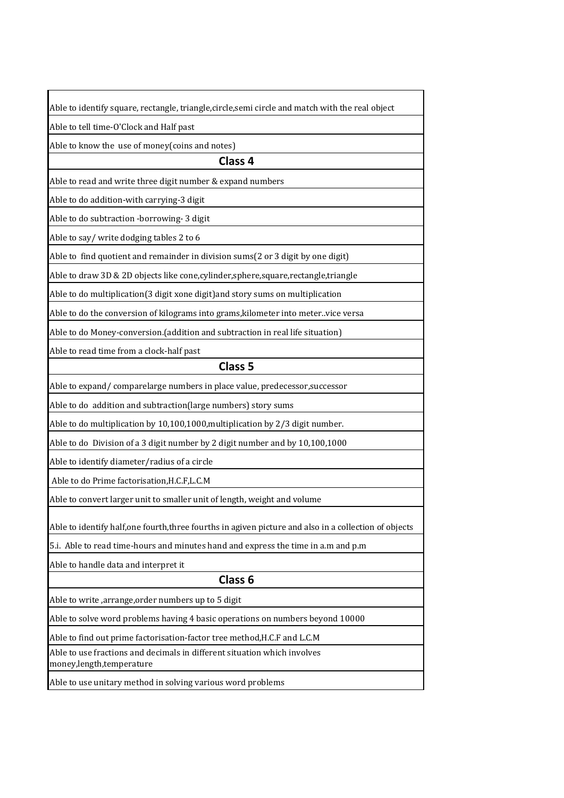|  | Able to identify square, rectangle, triangle,circle,semi circle and match with the real object |
|--|------------------------------------------------------------------------------------------------|

Able to tell time-O'Clock and Half past

Able to know the use of money(coins and notes)

## **Class 4**

Able to read and write three digit number & expand numbers

Able to do addition-with carrying-3 digit

Able to do subtraction -borrowing- 3 digit

Able to say/ write dodging tables 2 to 6

Able to find quotient and remainder in division sums(2 or 3 digit by one digit)

Able to draw 3D & 2D objects like cone,cylinder,sphere,square,rectangle,triangle

Able to do multiplication(3 digit xone digit)and story sums on multiplication

Able to do the conversion of kilograms into grams,kilometer into meter..vice versa

Able to do Money-conversion.(addition and subtraction in real life situation)

Able to read time from a clock-half past

## **Class 5**

Able to expand/ comparelarge numbers in place value, predecessor,successor

Able to do addition and subtraction(large numbers) story sums

Able to do multiplication by 10,100,1000,multiplication by 2/3 digit number.

Able to do Division of a 3 digit number by 2 digit number and by 10,100,1000

Able to identify diameter/radius of a circle

Able to do Prime factorisation,H.C.F,L.C.M

Able to convert larger unit to smaller unit of length, weight and volume

Able to identify half,one fourth,three fourths in agiven picture and also in a collection of objects

5.i. Able to read time-hours and minutes hand and express the time in a.m and p.m

Able to handle data and interpret it

## **Class 6**

Able to write ,arrange,order numbers up to 5 digit

Able to solve word problems having 4 basic operations on numbers beyond 10000

Able to find out prime factorisation-factor tree method,H.C.F and L.C.M

Able to use fractions and decimals in different situation which involves money,length,temperature

Able to use unitary method in solving various word problems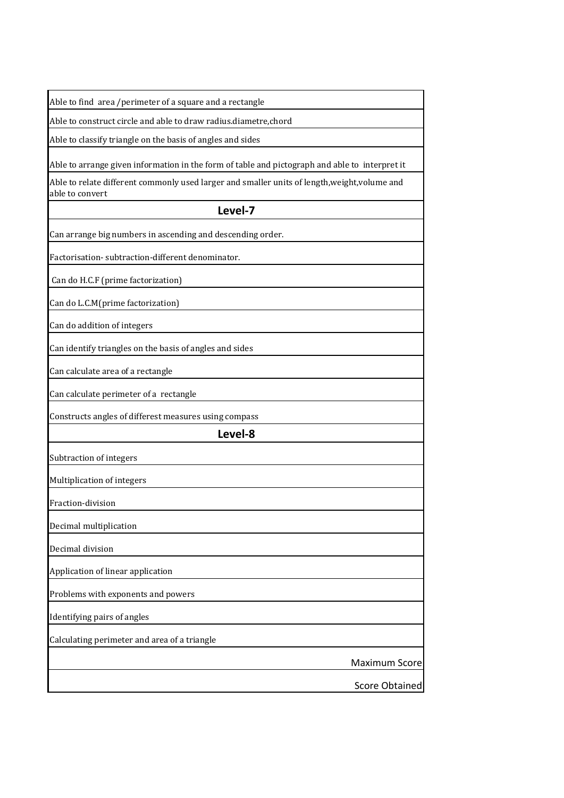| Able to find area /perimeter of a square and a rectangle                                                         |
|------------------------------------------------------------------------------------------------------------------|
| Able to construct circle and able to draw radius.diametre,chord                                                  |
| Able to classify triangle on the basis of angles and sides                                                       |
| Able to arrange given information in the form of table and pictograph and able to interpret it                   |
| Able to relate different commonly used larger and smaller units of length, weight, volume and<br>able to convert |
| Level-7                                                                                                          |
| Can arrange big numbers in ascending and descending order.                                                       |
| Factorisation-subtraction-different denominator.                                                                 |
| Can do H.C.F (prime factorization)                                                                               |
| Can do L.C.M(prime factorization)                                                                                |
| Can do addition of integers                                                                                      |
| Can identify triangles on the basis of angles and sides                                                          |
| Can calculate area of a rectangle                                                                                |
| Can calculate perimeter of a rectangle                                                                           |
| Constructs angles of differest measures using compass                                                            |
| Level-8                                                                                                          |
| Subtraction of integers                                                                                          |
| Multiplication of integers                                                                                       |
| Fraction-division                                                                                                |
| Decimal multiplication                                                                                           |
| Decimal division                                                                                                 |
| Application of linear application                                                                                |
| Problems with exponents and powers                                                                               |
| Identifying pairs of angles                                                                                      |
| Calculating perimeter and area of a triangle                                                                     |
| <b>Maximum Score</b>                                                                                             |
| <b>Score Obtained</b>                                                                                            |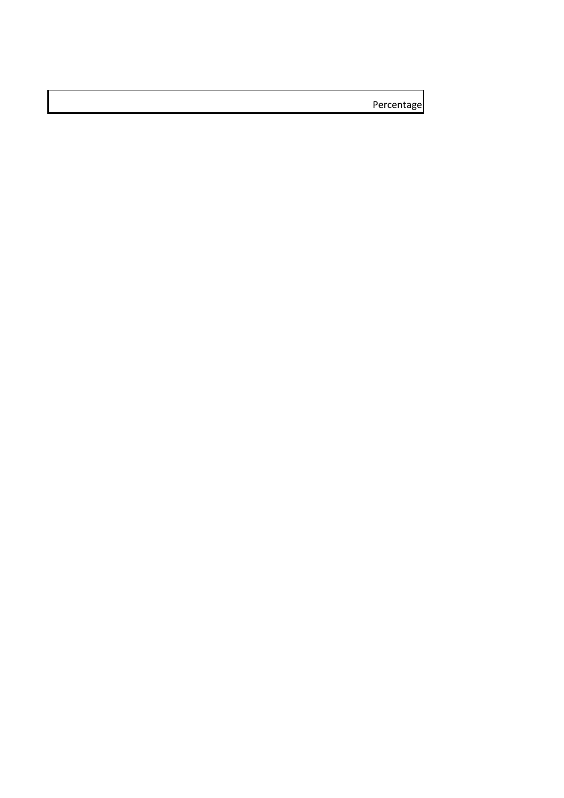Percentage